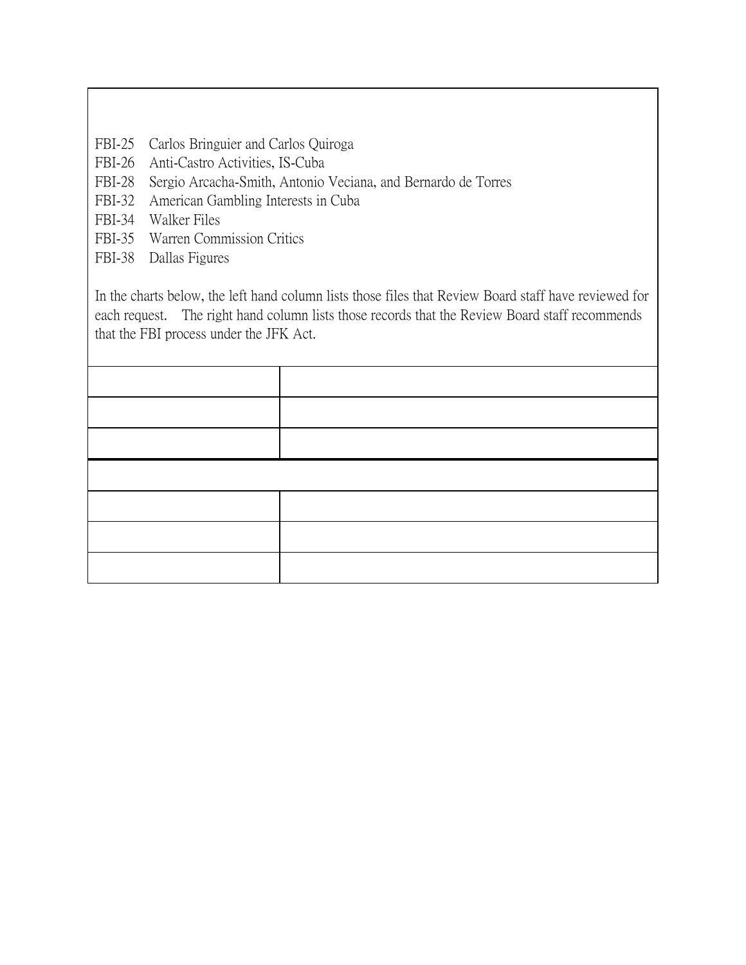- FBI-25 Carlos Bringuier and Carlos Quiroga
- FBI-26 Anti-Castro Activities, IS-Cuba
- FBI-28 Sergio Arcacha-Smith, Antonio Veciana, and Bernardo de Torres
- FBI-32 American Gambling Interests in Cuba
- FBI-34 Walker Files
- FBI-35 Warren Commission Critics
- FBI-38 Dallas Figures

In the charts below, the left hand column lists those files that Review Board staff have reviewed for each request. The right hand column lists those records that the Review Board staff recommends that the FBI process under the JFK Act.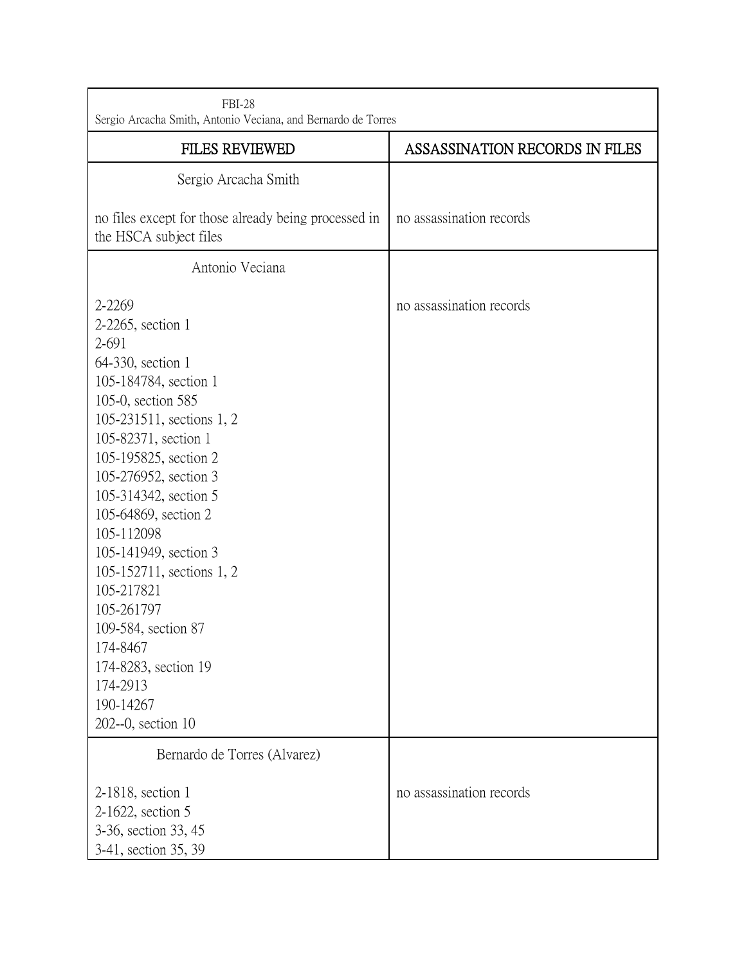| <b>FBI-28</b><br>Sergio Arcacha Smith, Antonio Veciana, and Bernardo de Torres                                                                                                                                                                                                                                                                                                                                                                                             |                                |
|----------------------------------------------------------------------------------------------------------------------------------------------------------------------------------------------------------------------------------------------------------------------------------------------------------------------------------------------------------------------------------------------------------------------------------------------------------------------------|--------------------------------|
| <b>FILES REVIEWED</b>                                                                                                                                                                                                                                                                                                                                                                                                                                                      | ASSASSINATION RECORDS IN FILES |
| Sergio Arcacha Smith                                                                                                                                                                                                                                                                                                                                                                                                                                                       |                                |
| no files except for those already being processed in<br>the HSCA subject files                                                                                                                                                                                                                                                                                                                                                                                             | no assassination records       |
| Antonio Veciana                                                                                                                                                                                                                                                                                                                                                                                                                                                            |                                |
| 2-2269<br>2-2265, section 1<br>2-691<br>64-330, section 1<br>105-184784, section 1<br>105-0, section 585<br>105-231511, sections 1, 2<br>105-82371, section 1<br>105-195825, section 2<br>105-276952, section 3<br>105-314342, section 5<br>105-64869, section 2<br>105-112098<br>105-141949, section 3<br>105-152711, sections 1, 2<br>105-217821<br>105-261797<br>109-584, section 87<br>174-8467<br>174-8283, section 19<br>174-2913<br>190-14267<br>202--0, section 10 | no assassination records       |
| Bernardo de Torres (Alvarez)                                                                                                                                                                                                                                                                                                                                                                                                                                               |                                |
| 2-1818, section 1<br>2-1622, section 5<br>3-36, section 33, 45<br>3-41, section 35, 39                                                                                                                                                                                                                                                                                                                                                                                     | no assassination records       |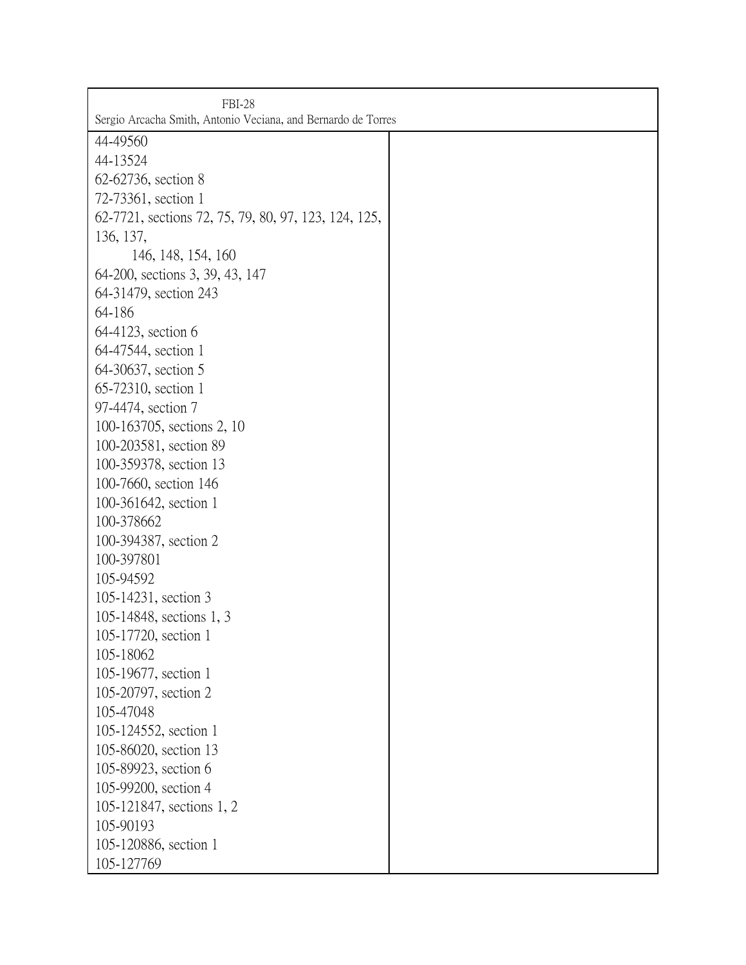| <b>FBI-28</b>                                                 |  |
|---------------------------------------------------------------|--|
| Sergio Arcacha Smith, Antonio Veciana, and Bernardo de Torres |  |
| 44-49560                                                      |  |
| 44-13524                                                      |  |
| 62-62736, section 8                                           |  |
| 72-73361, section 1                                           |  |
| 62-7721, sections 72, 75, 79, 80, 97, 123, 124, 125,          |  |
| 136, 137,                                                     |  |
| 146, 148, 154, 160                                            |  |
| 64-200, sections 3, 39, 43, 147                               |  |
| 64-31479, section 243                                         |  |
| 64-186                                                        |  |
| 64-4123, section 6                                            |  |
| 64-47544, section 1                                           |  |
| 64-30637, section 5                                           |  |
| 65-72310, section 1                                           |  |
| 97-4474, section 7                                            |  |
| 100-163705, sections 2, 10                                    |  |
| 100-203581, section 89                                        |  |
| 100-359378, section 13                                        |  |
| 100-7660, section 146                                         |  |
| 100-361642, section 1                                         |  |
| 100-378662                                                    |  |
| 100-394387, section 2                                         |  |
| 100-397801                                                    |  |
| 105-94592                                                     |  |
| 105-14231, section 3                                          |  |
| 105-14848, sections 1, 3                                      |  |
| 105-17720, section 1                                          |  |
| 105-18062                                                     |  |
| 105-19677, section 1                                          |  |
| 105-20797, section 2                                          |  |
| 105-47048                                                     |  |
| 105-124552, section 1                                         |  |
| 105-86020, section 13                                         |  |
| 105-89923, section 6                                          |  |
| 105-99200, section 4                                          |  |
| 105-121847, sections 1, 2                                     |  |
| 105-90193                                                     |  |
| 105-120886, section 1                                         |  |
| 105-127769                                                    |  |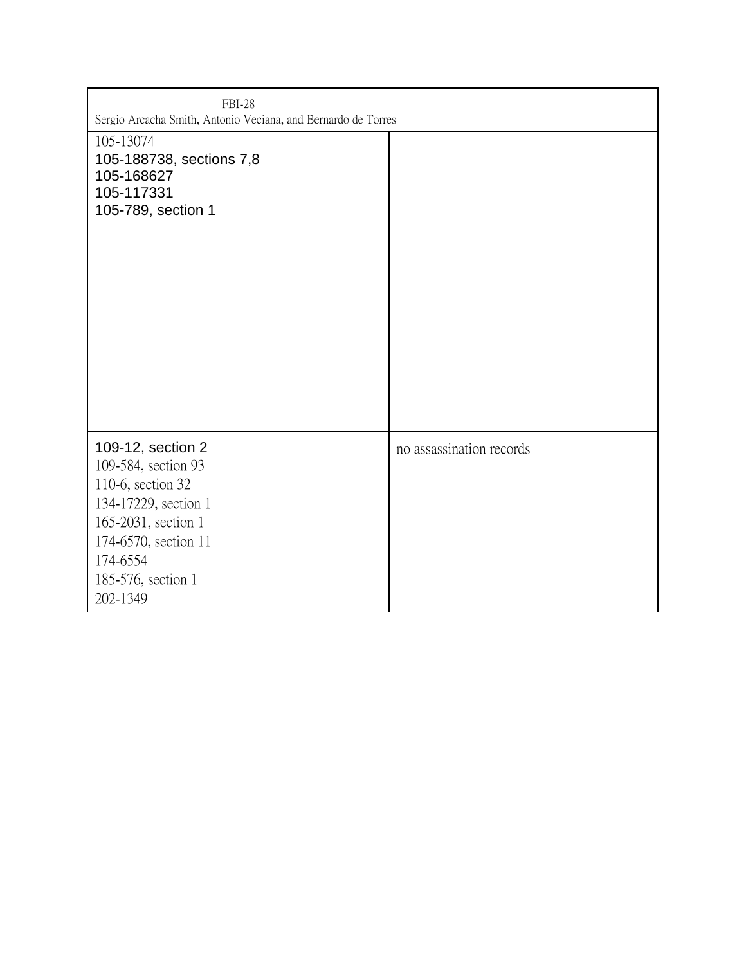| <b>FBI-28</b><br>Sergio Arcacha Smith, Antonio Veciana, and Bernardo de Torres                                                                                                     |                          |
|------------------------------------------------------------------------------------------------------------------------------------------------------------------------------------|--------------------------|
| 105-13074<br>105-188738, sections 7,8<br>105-168627<br>105-117331<br>105-789, section 1                                                                                            |                          |
| 109-12, section 2<br>109-584, section 93<br>110-6, section 32<br>134-17229, section 1<br>165-2031, section 1<br>174-6570, section 11<br>174-6554<br>185-576, section 1<br>202-1349 | no assassination records |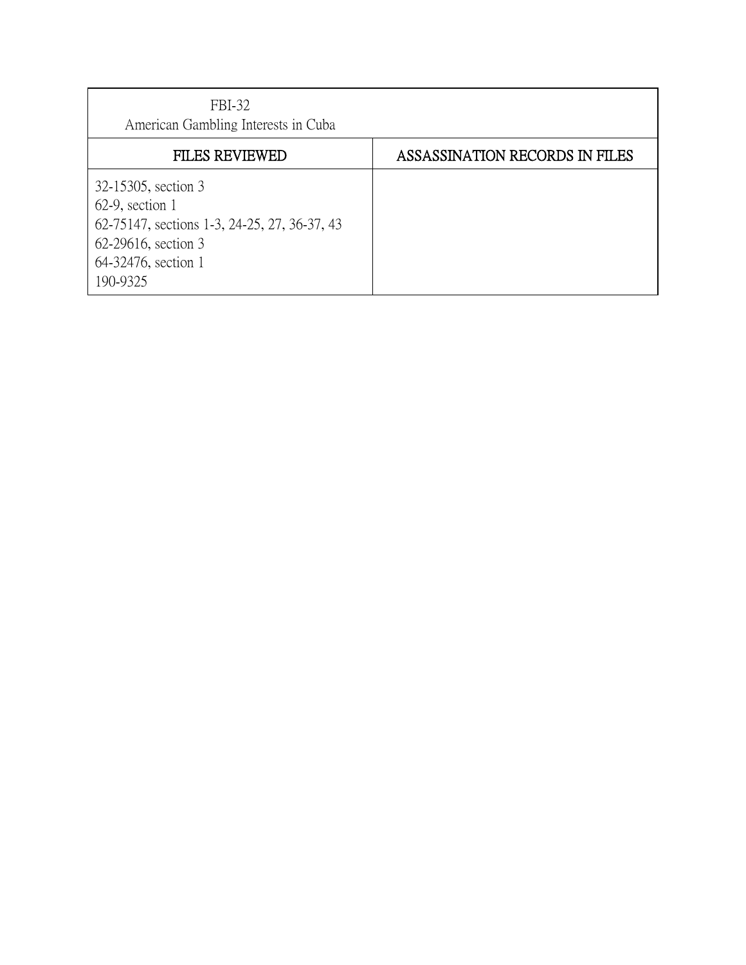| FBI-32<br>American Gambling Interests in Cuba                                                                                                       |                                |
|-----------------------------------------------------------------------------------------------------------------------------------------------------|--------------------------------|
| <b>FILES REVIEWED</b>                                                                                                                               | ASSASSINATION RECORDS IN FILES |
| 32-15305, section 3<br>$62-9$ , section 1<br>62-75147, sections 1-3, 24-25, 27, 36-37, 43<br>62-29616, section 3<br>64-32476, section 1<br>190-9325 |                                |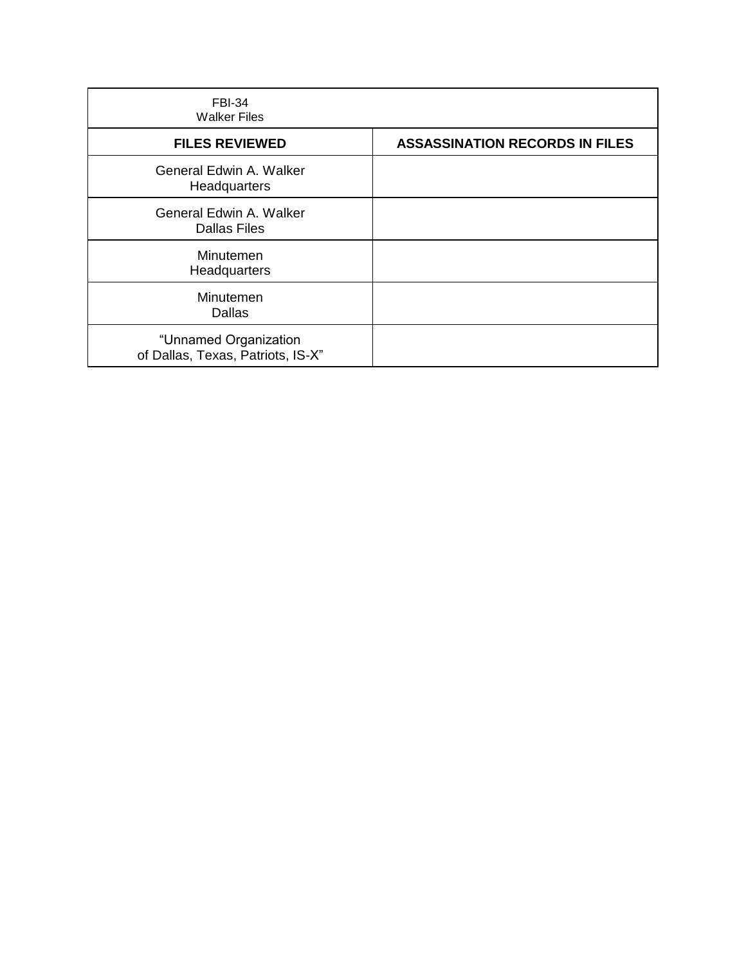| <b>FBI-34</b><br><b>Walker Files</b>                       |                                       |
|------------------------------------------------------------|---------------------------------------|
| <b>FILES REVIEWED</b>                                      | <b>ASSASSINATION RECORDS IN FILES</b> |
| General Edwin A. Walker<br>Headquarters                    |                                       |
| General Edwin A. Walker<br><b>Dallas Files</b>             |                                       |
| Minutemen<br>Headquarters                                  |                                       |
| Minutemen<br>Dallas                                        |                                       |
| "Unnamed Organization<br>of Dallas, Texas, Patriots, IS-X" |                                       |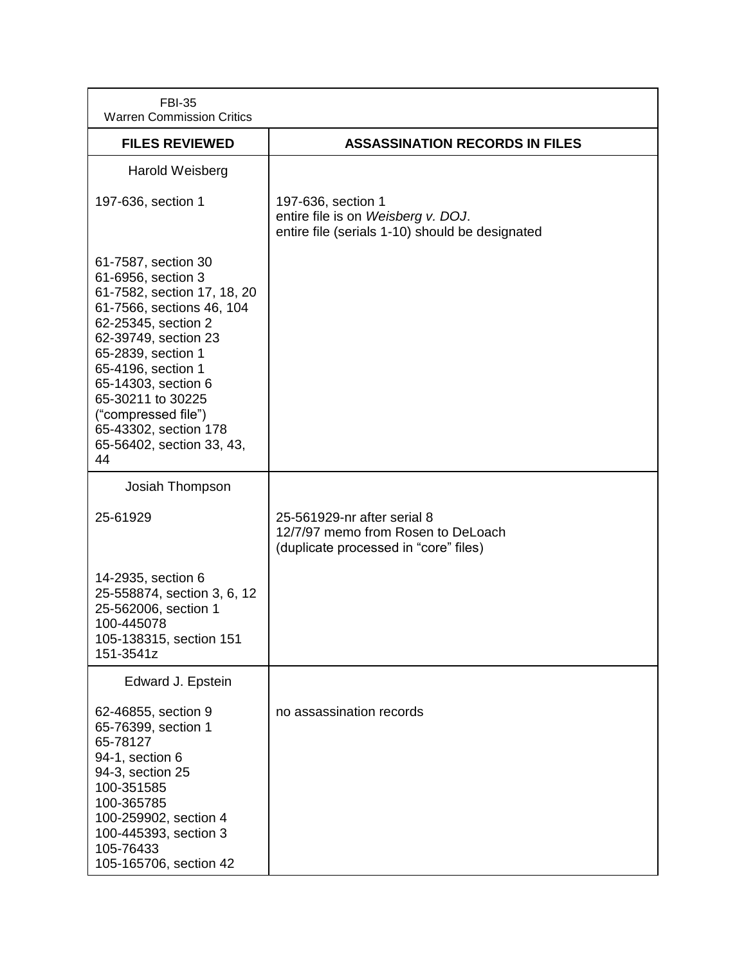| <b>FBI-35</b><br><b>Warren Commission Critics</b>                                                                                                                                                                                                                                                                               |                                                                                                             |
|---------------------------------------------------------------------------------------------------------------------------------------------------------------------------------------------------------------------------------------------------------------------------------------------------------------------------------|-------------------------------------------------------------------------------------------------------------|
| <b>FILES REVIEWED</b>                                                                                                                                                                                                                                                                                                           | <b>ASSASSINATION RECORDS IN FILES</b>                                                                       |
| Harold Weisberg                                                                                                                                                                                                                                                                                                                 |                                                                                                             |
| 197-636, section 1                                                                                                                                                                                                                                                                                                              | 197-636, section 1<br>entire file is on Weisberg v. DOJ.<br>entire file (serials 1-10) should be designated |
| 61-7587, section 30<br>61-6956, section 3<br>61-7582, section 17, 18, 20<br>61-7566, sections 46, 104<br>62-25345, section 2<br>62-39749, section 23<br>65-2839, section 1<br>65-4196, section 1<br>65-14303, section 6<br>65-30211 to 30225<br>("compressed file")<br>65-43302, section 178<br>65-56402, section 33, 43,<br>44 |                                                                                                             |
| Josiah Thompson                                                                                                                                                                                                                                                                                                                 |                                                                                                             |
| 25-61929                                                                                                                                                                                                                                                                                                                        | 25-561929-nr after serial 8<br>12/7/97 memo from Rosen to DeLoach<br>(duplicate processed in "core" files)  |
| 14-2935, section 6<br>25-558874, section 3, 6, 12<br>25-562006, section 1<br>100-445078<br>105-138315, section 151<br>151-3541z                                                                                                                                                                                                 |                                                                                                             |
| Edward J. Epstein                                                                                                                                                                                                                                                                                                               |                                                                                                             |
| 62-46855, section 9<br>65-76399, section 1<br>65-78127<br>94-1, section 6<br>94-3, section 25<br>100-351585<br>100-365785<br>100-259902, section 4<br>100-445393, section 3<br>105-76433<br>105-165706, section 42                                                                                                              | no assassination records                                                                                    |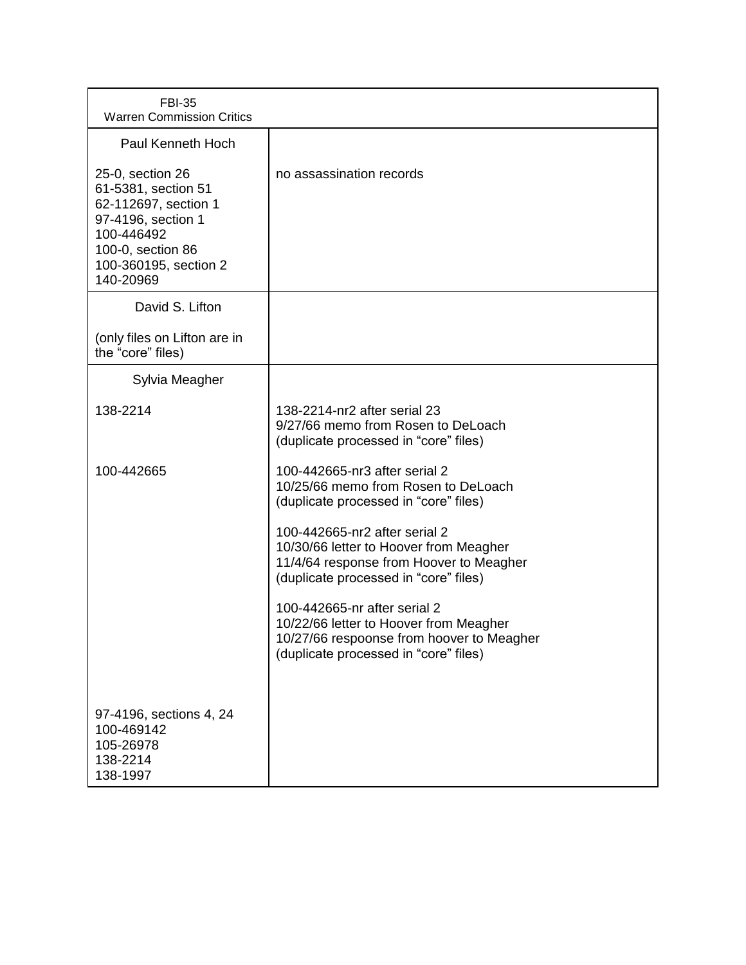| <b>FBI-35</b><br><b>Warren Commission Critics</b>                                                                                                              |                                                                                                                                                              |
|----------------------------------------------------------------------------------------------------------------------------------------------------------------|--------------------------------------------------------------------------------------------------------------------------------------------------------------|
| <b>Paul Kenneth Hoch</b>                                                                                                                                       |                                                                                                                                                              |
| 25-0, section 26<br>61-5381, section 51<br>62-112697, section 1<br>97-4196, section 1<br>100-446492<br>100-0, section 86<br>100-360195, section 2<br>140-20969 | no assassination records                                                                                                                                     |
| David S. Lifton                                                                                                                                                |                                                                                                                                                              |
| (only files on Lifton are in<br>the "core" files)                                                                                                              |                                                                                                                                                              |
| Sylvia Meagher                                                                                                                                                 |                                                                                                                                                              |
| 138-2214                                                                                                                                                       | 138-2214-nr2 after serial 23<br>9/27/66 memo from Rosen to DeLoach<br>(duplicate processed in "core" files)                                                  |
| 100-442665                                                                                                                                                     | 100-442665-nr3 after serial 2<br>10/25/66 memo from Rosen to DeLoach<br>(duplicate processed in "core" files)                                                |
|                                                                                                                                                                | 100-442665-nr2 after serial 2<br>10/30/66 letter to Hoover from Meagher<br>11/4/64 response from Hoover to Meagher<br>(duplicate processed in "core" files)  |
|                                                                                                                                                                | 100-442665-nr after serial 2<br>10/22/66 letter to Hoover from Meagher<br>10/27/66 respoonse from hoover to Meagher<br>(duplicate processed in "core" files) |
| 97-4196, sections 4, 24<br>100-469142<br>105-26978<br>138-2214<br>138-1997                                                                                     |                                                                                                                                                              |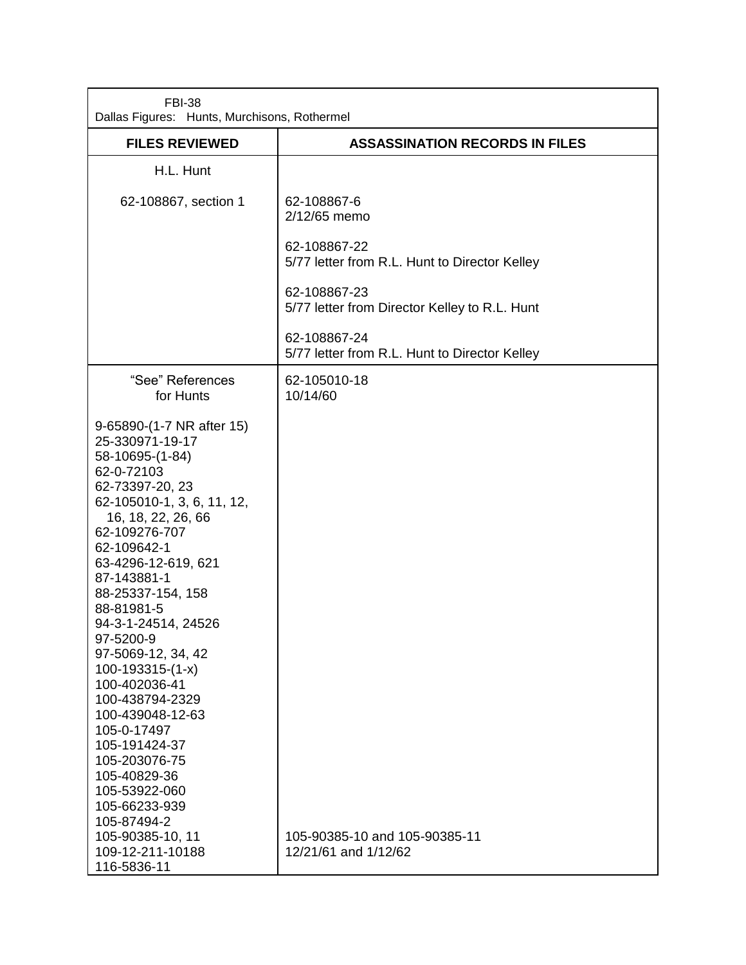| <b>FBI-38</b><br>Dallas Figures: Hunts, Murchisons, Rothermel                                                                                                                                                                                                                                                                                                                                                                                                                                                                             |                                                               |
|-------------------------------------------------------------------------------------------------------------------------------------------------------------------------------------------------------------------------------------------------------------------------------------------------------------------------------------------------------------------------------------------------------------------------------------------------------------------------------------------------------------------------------------------|---------------------------------------------------------------|
| <b>FILES REVIEWED</b>                                                                                                                                                                                                                                                                                                                                                                                                                                                                                                                     | <b>ASSASSINATION RECORDS IN FILES</b>                         |
| H.L. Hunt                                                                                                                                                                                                                                                                                                                                                                                                                                                                                                                                 |                                                               |
| 62-108867, section 1                                                                                                                                                                                                                                                                                                                                                                                                                                                                                                                      | 62-108867-6<br>2/12/65 memo                                   |
|                                                                                                                                                                                                                                                                                                                                                                                                                                                                                                                                           | 62-108867-22<br>5/77 letter from R.L. Hunt to Director Kelley |
|                                                                                                                                                                                                                                                                                                                                                                                                                                                                                                                                           | 62-108867-23<br>5/77 letter from Director Kelley to R.L. Hunt |
|                                                                                                                                                                                                                                                                                                                                                                                                                                                                                                                                           | 62-108867-24<br>5/77 letter from R.L. Hunt to Director Kelley |
| "See" References<br>for Hunts                                                                                                                                                                                                                                                                                                                                                                                                                                                                                                             | 62-105010-18<br>10/14/60                                      |
| 9-65890-(1-7 NR after 15)<br>25-330971-19-17<br>58-10695-(1-84)<br>62-0-72103<br>62-73397-20, 23<br>62-105010-1, 3, 6, 11, 12,<br>16, 18, 22, 26, 66<br>62-109276-707<br>62-109642-1<br>63-4296-12-619, 621<br>87-143881-1<br>88-25337-154, 158<br>88-81981-5<br>94-3-1-24514, 24526<br>97-5200-9<br>97-5069-12, 34, 42<br>100-193315-(1-x)<br>100-402036-41<br>100-438794-2329<br>100-439048-12-63<br>105-0-17497<br>105-191424-37<br>105-203076-75<br>105-40829-36<br>105-53922-060<br>105-66233-939<br>105-87494-2<br>105-90385-10, 11 | 105-90385-10 and 105-90385-11                                 |
| 109-12-211-10188<br>116-5836-11                                                                                                                                                                                                                                                                                                                                                                                                                                                                                                           | 12/21/61 and 1/12/62                                          |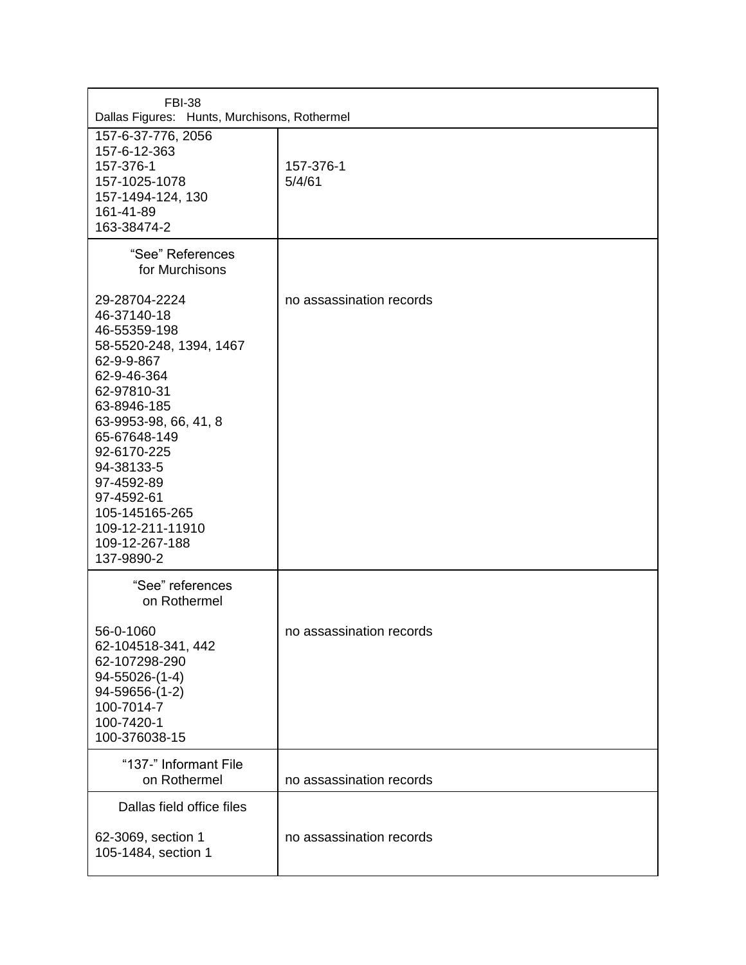| <b>FBI-38</b><br>Dallas Figures: Hunts, Murchisons, Rothermel                                                                                                                                                                                                                                              |                          |
|------------------------------------------------------------------------------------------------------------------------------------------------------------------------------------------------------------------------------------------------------------------------------------------------------------|--------------------------|
| 157-6-37-776, 2056<br>157-6-12-363<br>157-376-1<br>157-1025-1078<br>157-1494-124, 130<br>161-41-89<br>163-38474-2                                                                                                                                                                                          | 157-376-1<br>5/4/61      |
| "See" References<br>for Murchisons                                                                                                                                                                                                                                                                         |                          |
| 29-28704-2224<br>46-37140-18<br>46-55359-198<br>58-5520-248, 1394, 1467<br>62-9-9-867<br>62-9-46-364<br>62-97810-31<br>63-8946-185<br>63-9953-98, 66, 41, 8<br>65-67648-149<br>92-6170-225<br>94-38133-5<br>97-4592-89<br>97-4592-61<br>105-145165-265<br>109-12-211-11910<br>109-12-267-188<br>137-9890-2 | no assassination records |
| "See" references<br>on Rothermel                                                                                                                                                                                                                                                                           |                          |
| 56-0-1060<br>62-104518-341, 442<br>62-107298-290<br>94-55026-(1-4)<br>94-59656-(1-2)<br>100-7014-7<br>100-7420-1<br>100-376038-15                                                                                                                                                                          | no assassination records |
| "137-" Informant File<br>on Rothermel                                                                                                                                                                                                                                                                      | no assassination records |
| Dallas field office files                                                                                                                                                                                                                                                                                  |                          |
| 62-3069, section 1<br>105-1484, section 1                                                                                                                                                                                                                                                                  | no assassination records |